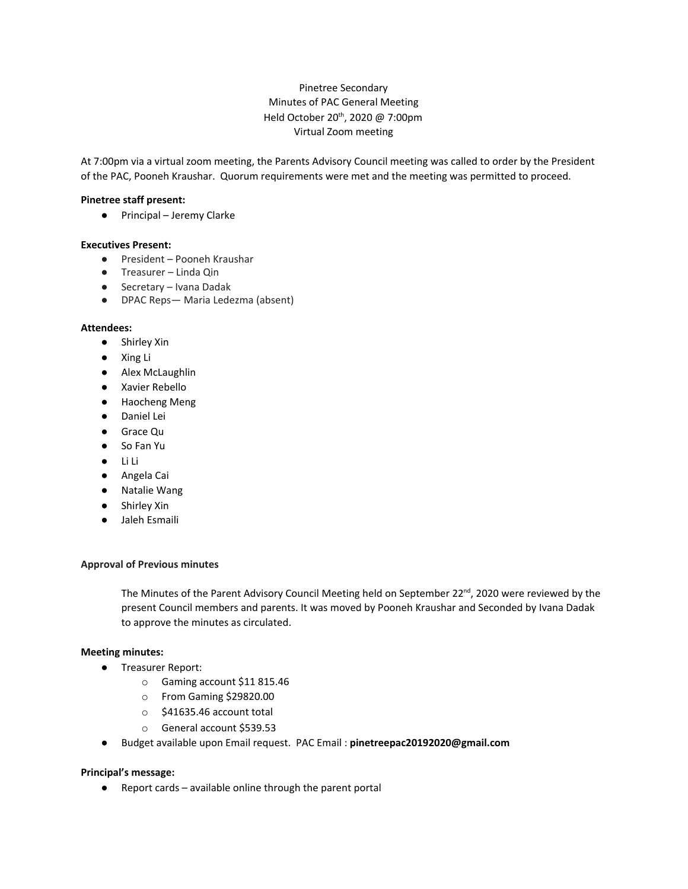# Pinetree Secondary Minutes of PAC General Meeting Held October 20<sup>th</sup>, 2020 @ 7:00pm Virtual Zoom meeting

At 7:00pm via a virtual zoom meeting, the Parents Advisory Council meeting was called to order by the President of the PAC, Pooneh Kraushar. Quorum requirements were met and the meeting was permitted to proceed.

### **Pinetree staff present:**

● Principal – Jeremy Clarke

#### **Executives Present:**

- President Pooneh Kraushar
- Treasurer Linda Qin
- Secretary Ivana Dadak
- DPAC Reps— Maria Ledezma (absent)

#### **Attendees:**

- Shirley Xin
- Xing Li
- Alex McLaughlin
- Xavier Rebello
- Haocheng Meng
- Daniel Lei
- Grace Qu
- So Fan Yu
- Li Li
- Angela Cai
- Natalie Wang
- Shirley Xin
- Jaleh Esmaili

#### **Approval of Previous minutes**

The Minutes of the Parent Advisory Council Meeting held on September 22<sup>nd</sup>, 2020 were reviewed by the present Council members and parents. It was moved by Pooneh Kraushar and Seconded by Ivana Dadak to approve the minutes as circulated.

#### **Meeting minutes:**

- Treasurer Report:
	- o Gaming account \$11 815.46
	- o From Gaming \$29820.00
	- o \$41635.46 account total
	- o General account \$539.53
- Budget available upon Email request. PAC Email : **pinetreepac20192020@gmail.com**

#### **Principal's message:**

● Report cards – available online through the parent portal